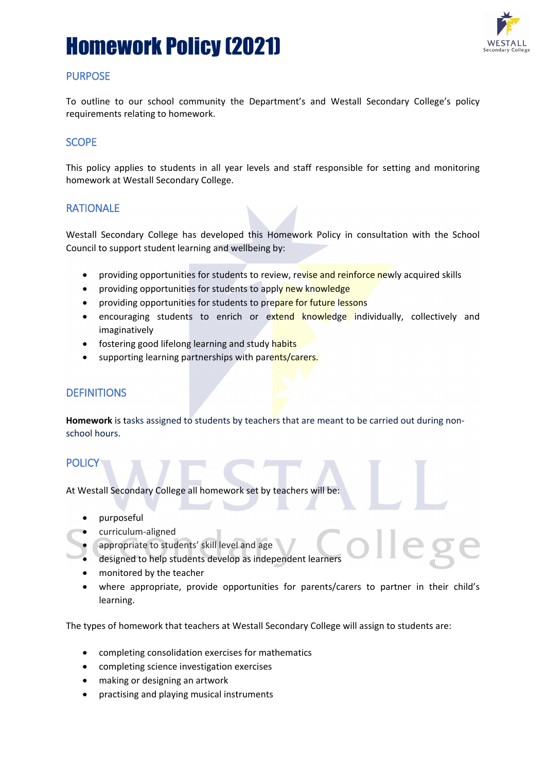# Homework Policy (2021)



### PURPOSE

To outline to our school community the Department's and Westall Secondary College's policy requirements relating to homework.

### **SCOPE**

This policy applies to students in all year levels and staff responsible for setting and monitoring homework at Westall Secondary College.

#### RATIONALE

Westall Secondary College has developed this Homework Policy in consultation with the School Council to support student learning and wellbeing by:

- providing opportunities for students to review, revise and reinforce newly acquired skills
- providing opportunities for students to apply new knowledge
- providing opportunities for students to prepare for future lessons
- encouraging students to enrich or extend knowledge individually, collectively and imaginatively
- fostering good lifelong learning and study habits
- supporting learning partnerships with parents/carers.

### **DEFINITIONS**

**Homework** is tasks assigned to students by teachers that are meant to be carried out during nonschool hours.

#### **POLICY**

At Westall Secondary College all homework set by teachers will be:

- purposeful
- curriculum-aligned
- appropriate to students' skill level and age
- designed to help students develop as independent learners
- monitored by the teacher
- where appropriate, provide opportunities for parents/carers to partner in their child's learning.

The types of homework that teachers at Westall Secondary College will assign to students are:

- completing consolidation exercises for mathematics
- completing science investigation exercises
- making or designing an artwork
- practising and playing musical instruments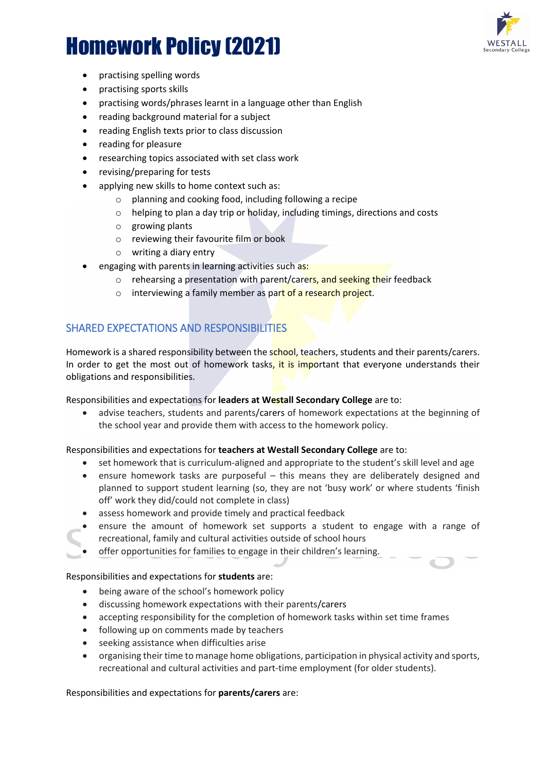

# Homework Policy (2021)

- practising spelling words
- practising sports skills
- practising words/phrases learnt in a language other than English
- reading background material for a subject
- reading English texts prior to class discussion
- reading for pleasure
- researching topics associated with set class work
- revising/preparing for tests
- applying new skills to home context such as:
	- o planning and cooking food, including following a recipe
	- o helping to plan a day trip or holiday, including timings, directions and costs
	- o growing plants
	- o reviewing their favourite film or book
	- o writing a diary entry
- engaging with parents in learning activities such as:
	- o rehearsing a presentation with parent/carers, and seeking their feedback
	- o interviewing a family member as part of a research project.

## SHARED EXPECTATIONS AND RESPONSIBILITIES

Homework is a shared responsibility between the school, teachers, students and their parents/carers. In order to get the most out of homework tasks, it is important that everyone understands their obligations and responsibilities.

Responsibilities and expectations for **leaders at Westall Secondary College** are to:

• advise teachers, students and parents/carers of homework expectations at the beginning of the school year and provide them with access to the homework policy.

Responsibilities and expectations for **teachers at Westall Secondary College** are to:

- set homework that is curriculum-aligned and appropriate to the student's skill level and age
- ensure homework tasks are purposeful this means they are deliberately designed and planned to support student learning (so, they are not 'busy work' or where students 'finish off' work they did/could not complete in class)
- assess homework and provide timely and practical feedback
- ensure the amount of homework set supports a student to engage with a range of recreational, family and cultural activities outside of school hours
- offer opportunities for families to engage in their children's learning.

#### Responsibilities and expectations for **students** are:

- being aware of the school's homework policy
- discussing homework expectations with their parents/carers
- accepting responsibility for the completion of homework tasks within set time frames
- following up on comments made by teachers
- seeking assistance when difficulties arise
- organising their time to manage home obligations, participation in physical activity and sports, recreational and cultural activities and part-time employment (for older students).

#### Responsibilities and expectations for **parents/carers** are: